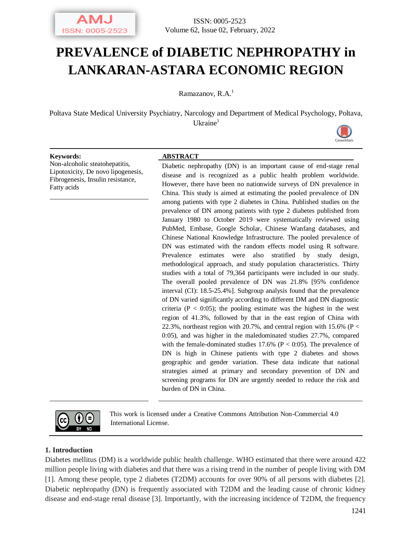

# **PREVALENCE of DIABETIC NEPHROPATHY in LANKARAN-ASTARA ECONOMIC REGION**

Ramazanov,  $R.A.<sup>1</sup>$ 

Poltava State Medical University Psychiatry, Narcology and Department of Medical Psychology, Poltava,  $U$ kraine<sup>1</sup>



#### **Keywords: ABSTRACT**

Non-alcoholic steatohepatitis, Lipotoxicity, De novo lipogenesis, Fibrogenesis, Insulin resistance, Fatty acids

Diabetic nephropathy (DN) is an important cause of end-stage renal disease and is recognized as a public health problem worldwide. However, there have been no nationwide surveys of DN prevalence in China. This study is aimed at estimating the pooled prevalence of DN among patients with type 2 diabetes in China. Published studies on the prevalence of DN among patients with type 2 diabetes published from January 1980 to October 2019 were systematically reviewed using PubMed, Embase, Google Scholar, Chinese Wanfang databases, and Chinese National Knowledge Infrastructure. The pooled prevalence of DN was estimated with the random effects model using R software. Prevalence estimates were also stratified by study design, methodological approach, and study population characteristics. Thirty studies with a total of 79,364 participants were included in our study. The overall pooled prevalence of DN was 21.8% [95% confidence interval (CI): 18.5-25.4%]. Subgroup analysis found that the prevalence of DN varied significantly according to different DM and DN diagnostic criteria ( $P < 0.05$ ); the pooling estimate was the highest in the west region of 41.3%, followed by that in the east region of China with 22.3%, northeast region with 20.7%, and central region with 15.6% ( $P <$ 0:05), and was higher in the maledominated studies 27.7%, compared with the female-dominated studies  $17.6\%$  (P < 0:05). The prevalence of DN is high in Chinese patients with type 2 diabetes and shows geographic and gender variation. These data indicate that national strategies aimed at primary and secondary prevention of DN and screening programs for DN are urgently needed to reduce the risk and burden of DN in China.



This work is licensed under a Creative Commons Attribution Non-Commercial 4.0 International License.

#### **1. Introduction**

Diabetes mellitus (DM) is a worldwide public health challenge. WHO estimated that there were around 422 million people living with diabetes and that there was a rising trend in the number of people living with DM [1]. Among these people, type 2 diabetes (T2DM) accounts for over 90% of all persons with diabetes [2]. Diabetic nephropathy (DN) is frequently associated with T2DM and the leading cause of chronic kidney disease and end-stage renal disease [3]. Importantly, with the increasing incidence of T2DM, the frequency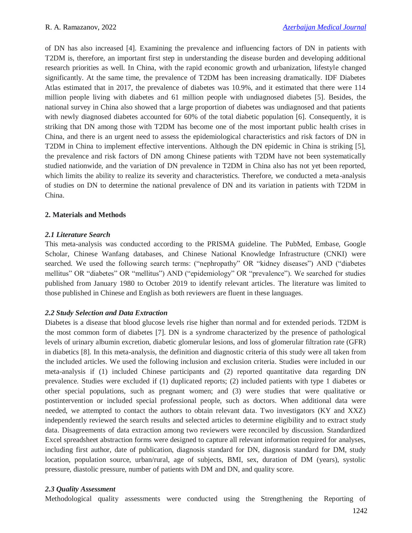of DN has also increased [4]. Examining the prevalence and influencing factors of DN in patients with T2DM is, therefore, an important first step in understanding the disease burden and developing additional research priorities as well. In China, with the rapid economic growth and urbanization, lifestyle changed significantly. At the same time, the prevalence of T2DM has been increasing dramatically. IDF Diabetes Atlas estimated that in 2017, the prevalence of diabetes was 10.9%, and it estimated that there were 114 million people living with diabetes and 61 million people with undiagnosed diabetes [5]. Besides, the national survey in China also showed that a large proportion of diabetes was undiagnosed and that patients with newly diagnosed diabetes accounted for 60% of the total diabetic population [6]. Consequently, it is striking that DN among those with T2DM has become one of the most important public health crises in China, and there is an urgent need to assess the epidemiological characteristics and risk factors of DN in T2DM in China to implement effective interventions. Although the DN epidemic in China is striking [5], the prevalence and risk factors of DN among Chinese patients with T2DM have not been systematically studied nationwide, and the variation of DN prevalence in T2DM in China also has not yet been reported, which limits the ability to realize its severity and characteristics. Therefore, we conducted a meta-analysis of studies on DN to determine the national prevalence of DN and its variation in patients with T2DM in China.

# **2. Materials and Methods**

# *2.1 Literature Search*

This meta-analysis was conducted according to the PRISMA guideline. The PubMed, Embase, Google Scholar, Chinese Wanfang databases, and Chinese National Knowledge Infrastructure (CNKI) were searched. We used the following search terms: ("nephropathy" OR "kidney diseases") AND ("diabetes mellitus" OR "diabetes" OR "mellitus") AND ("epidemiology" OR "prevalence"). We searched for studies published from January 1980 to October 2019 to identify relevant articles. The literature was limited to those published in Chinese and English as both reviewers are fluent in these languages.

# *2.2 Study Selection and Data Extraction*

Diabetes is a disease that blood glucose levels rise higher than normal and for extended periods. T2DM is the most common form of diabetes [7]. DN is a syndrome characterized by the presence of pathological levels of urinary albumin excretion, diabetic glomerular lesions, and loss of glomerular filtration rate (GFR) in diabetics [8]. In this meta-analysis, the definition and diagnostic criteria of this study were all taken from the included articles. We used the following inclusion and exclusion criteria. Studies were included in our meta-analysis if (1) included Chinese participants and (2) reported quantitative data regarding DN prevalence. Studies were excluded if (1) duplicated reports; (2) included patients with type 1 diabetes or other special populations, such as pregnant women; and (3) were studies that were qualitative or postintervention or included special professional people, such as doctors. When additional data were needed, we attempted to contact the authors to obtain relevant data. Two investigators (KY and XXZ) independently reviewed the search results and selected articles to determine eligibility and to extract study data. Disagreements of data extraction among two reviewers were reconciled by discussion. Standardized Excel spreadsheet abstraction forms were designed to capture all relevant information required for analyses, including first author, date of publication, diagnosis standard for DN, diagnosis standard for DM, study location, population source, urban/rural, age of subjects, BMI, sex, duration of DM (years), systolic pressure, diastolic pressure, number of patients with DM and DN, and quality score.

# *2.3 Quality Assessment*

Methodological quality assessments were conducted using the Strengthening the Reporting of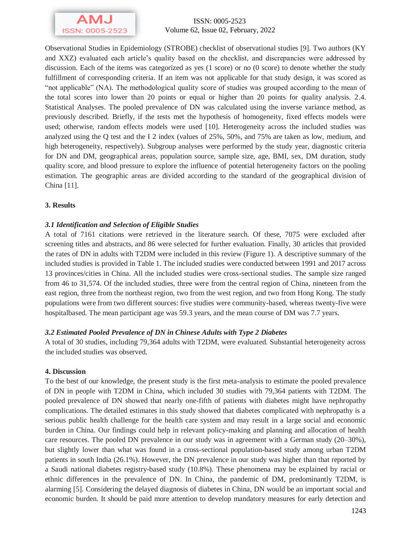

ISSN: 0005-2523 Volume 62, Issue 02, February, 2022

Observational Studies in Epidemiology (STROBE) checklist of observational studies [9]. Two authors (KY and XXZ) evaluated each article's quality based on the checklist, and discrepancies were addressed by discussion. Each of the items was categorized as yes (1 score) or no (0 score) to denote whether the study fulfillment of corresponding criteria. If an item was not applicable for that study design, it was scored as "not applicable" (NA). The methodological quality score of studies was grouped according to the mean of the total scores into lower than 20 points or equal or higher than 20 points for quality analysis. 2.4. Statistical Analyses. The pooled prevalence of DN was calculated using the inverse variance method, as previously described. Briefly, if the tests met the hypothesis of homogeneity, fixed effects models were used; otherwise, random effects models were used [10]. Heterogeneity across the included studies was analyzed using the Q test and the I 2 index (values of 25%, 50%, and 75% are taken as low, medium, and high heterogeneity, respectively). Subgroup analyses were performed by the study year, diagnostic criteria for DN and DM, geographical areas, population source, sample size, age, BMI, sex, DM duration, study quality score, and blood pressure to explore the influence of potential heterogeneity factors on the pooling estimation. The geographic areas are divided according to the standard of the geographical division of China [11].

## **3. Results**

## *3.1 Identification and Selection of Eligible Studies*

A total of 7161 citations were retrieved in the literature search. Of these, 7075 were excluded after screening titles and abstracts, and 86 were selected for further evaluation. Finally, 30 articles that provided the rates of DN in adults with T2DM were included in this review (Figure 1). A descriptive summary of the included studies is provided in Table 1. The included studies were conducted between 1991 and 2017 across 13 provinces/cities in China. All the included studies were cross-sectional studies. The sample size ranged from 46 to 31,574. Of the included studies, three were from the central region of China, nineteen from the east region, three from the northeast region, two from the west region, and two from Hong Kong. The study populations were from two different sources: five studies were community-based, whereas twenty-five were hospitalbased. The mean participant age was 59.3 years, and the mean course of DM was 7.7 years.

#### *3.2 Estimated Pooled Prevalence of DN in Chinese Adults with Type 2 Diabetes*

A total of 30 studies, including 79,364 adults with T2DM, were evaluated. Substantial heterogeneity across the included studies was observed.

#### **4. Discussion**

To the best of our knowledge, the present study is the first meta-analysis to estimate the pooled prevalence of DN in people with T2DM in China, which included 30 studies with 79,364 patients with T2DM. The pooled prevalence of DN showed that nearly one-fifth of patients with diabetes might have nephropathy complications. The detailed estimates in this study showed that diabetes complicated with nephropathy is a serious public health challenge for the health care system and may result in a large social and economic burden in China. Our findings could help in relevant policy-making and planning and allocation of health care resources. The pooled DN prevalence in our study was in agreement with a German study (20–30%), but slightly lower than what was found in a cross-sectional population-based study among urban T2DM patients in south India (26.1%). However, the DN prevalence in our study was higher than that reported by a Saudi national diabetes registry-based study (10.8%). These phenomena may be explained by racial or ethnic differences in the prevalence of DN. In China, the pandemic of DM, predominantly T2DM, is alarming [5]. Considering the delayed diagnosis of diabetes in China, DN would be an important social and economic burden. It should be paid more attention to develop mandatory measures for early detection and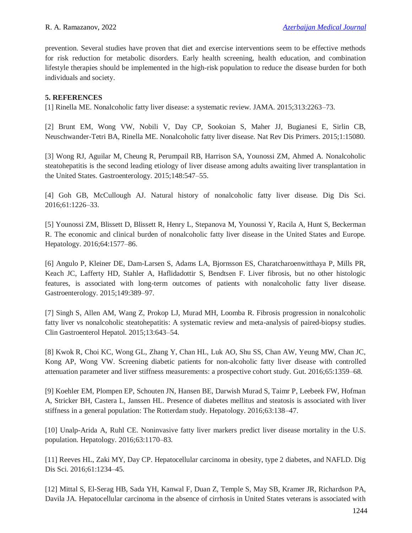prevention. Several studies have proven that diet and exercise interventions seem to be effective methods for risk reduction for metabolic disorders. Early health screening, health education, and combination lifestyle therapies should be implemented in the high-risk population to reduce the disease burden for both individuals and society.

# **5. REFERENCES**

[1] Rinella ME. Nonalcoholic fatty liver disease: a systematic review. JAMA. 2015;313:2263–73.

[2] Brunt EM, Wong VW, Nobili V, Day CP, Sookoian S, Maher JJ, Bugianesi E, Sirlin CB, Neuschwander-Tetri BA, Rinella ME. Nonalcoholic fatty liver disease. Nat Rev Dis Primers. 2015;1:15080.

[3] Wong RJ, Aguilar M, Cheung R, Perumpail RB, Harrison SA, Younossi ZM, Ahmed A. Nonalcoholic steatohepatitis is the second leading etiology of liver disease among adults awaiting liver transplantation in the United States. Gastroenterology. 2015;148:547–55.

[4] Goh GB, McCullough AJ. Natural history of nonalcoholic fatty liver disease. Dig Dis Sci. 2016;61:1226–33.

[5] Younossi ZM, Blissett D, Blissett R, Henry L, Stepanova M, Younossi Y, Racila A, Hunt S, Beckerman R. The economic and clinical burden of nonalcoholic fatty liver disease in the United States and Europe. Hepatology. 2016;64:1577–86.

[6] Angulo P, Kleiner DE, Dam-Larsen S, Adams LA, Bjornsson ES, Charatcharoenwitthaya P, Mills PR, Keach JC, Lafferty HD, Stahler A, Haflidadottir S, Bendtsen F. Liver fibrosis, but no other histologic features, is associated with long-term outcomes of patients with nonalcoholic fatty liver disease. Gastroenterology. 2015;149:389–97.

[7] Singh S, Allen AM, Wang Z, Prokop LJ, Murad MH, Loomba R. Fibrosis progression in nonalcoholic fatty liver vs nonalcoholic steatohepatitis: A systematic review and meta-analysis of paired-biopsy studies. Clin Gastroenterol Hepatol. 2015;13:643–54.

[8] Kwok R, Choi KC, Wong GL, Zhang Y, Chan HL, Luk AO, Shu SS, Chan AW, Yeung MW, Chan JC, Kong AP, Wong VW. Screening diabetic patients for non-alcoholic fatty liver disease with controlled attenuation parameter and liver stiffness measurements: a prospective cohort study. Gut. 2016;65:1359–68.

[9] Koehler EM, Plompen EP, Schouten JN, Hansen BE, Darwish Murad S, Taimr P, Leebeek FW, Hofman A, Stricker BH, Castera L, Janssen HL. Presence of diabetes mellitus and steatosis is associated with liver stiffness in a general population: The Rotterdam study. Hepatology. 2016;63:138–47.

[10] Unalp-Arida A, Ruhl CE. Noninvasive fatty liver markers predict liver disease mortality in the U.S. population. Hepatology. 2016;63:1170–83.

[11] Reeves HL, Zaki MY, Day CP. Hepatocellular carcinoma in obesity, type 2 diabetes, and NAFLD. Dig Dis Sci. 2016;61:1234–45.

[12] Mittal S, El-Serag HB, Sada YH, Kanwal F, Duan Z, Temple S, May SB, Kramer JR, Richardson PA, Davila JA. Hepatocellular carcinoma in the absence of cirrhosis in United States veterans is associated with